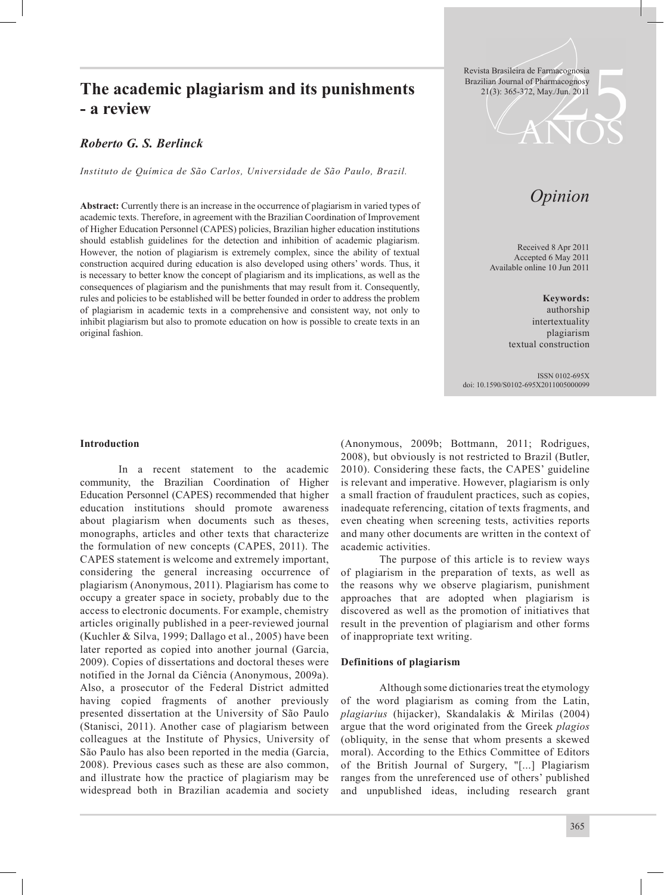## **The academic plagiarism and its punishments** <u>Pharmacognosy</u> **The academic plagiarism and its punishments** 21(3): 365-372, May./Jun. 2011 **- a review**

## *Roberto G. S. Berlinck*

*Instituto de Química de São Carlos, Universidade de São Paulo, Brazil.*

**Abstract:** Currently there is an increase in the occurrence of plagiarism in varied types of academic texts. Therefore, in agreement with the Brazilian Coordination of Improvement of Higher Education Personnel (CAPES) policies, Brazilian higher education institutions should establish guidelines for the detection and inhibition of academic plagiarism. However, the notion of plagiarism is extremely complex, since the ability of textual construction acquired during education is also developed using others' words. Thus, it is necessary to better know the concept of plagiarism and its implications, as well as the consequences of plagiarism and the punishments that may result from it. Consequently, rules and policies to be established will be better founded in order to address the problem of plagiarism in academic texts in a comprehensive and consistent way, not only to inhibit plagiarism but also to promote education on how is possible to create texts in an original fashion.

Revista Brasileira de Farmacognosia

# *Opinion*

Received 8 Apr 2011 Accepted 6 May 2011 Available online 10 Jun 2011

> **Keywords:** authorship intertextuality plagiarism textual construction

ISSN 0102-695X doi: 10.1590/S0102-695X2011005000099

#### **Introduction**

 In a recent statement to the academic community, the Brazilian Coordination of Higher Education Personnel (CAPES) recommended that higher education institutions should promote awareness about plagiarism when documents such as theses, monographs, articles and other texts that characterize the formulation of new concepts (CAPES, 2011). The CAPES statement is welcome and extremely important, considering the general increasing occurrence of plagiarism (Anonymous, 2011). Plagiarism has come to occupy a greater space in society, probably due to the access to electronic documents. For example, chemistry articles originally published in a peer-reviewed journal (Kuchler & Silva, 1999; Dallago et al., 2005) have been later reported as copied into another journal (Garcia, 2009). Copies of dissertations and doctoral theses were notified in the Jornal da Ciência (Anonymous, 2009a). Also, a prosecutor of the Federal District admitted having copied fragments of another previously presented dissertation at the University of São Paulo (Stanisci, 2011). Another case of plagiarism between colleagues at the Institute of Physics, University of São Paulo has also been reported in the media (Garcia, 2008). Previous cases such as these are also common, and illustrate how the practice of plagiarism may be widespread both in Brazilian academia and society (Anonymous, 2009b; Bottmann, 2011; Rodrigues, 2008), but obviously is not restricted to Brazil (Butler, 2010). Considering these facts, the CAPES' guideline is relevant and imperative. However, plagiarism is only a small fraction of fraudulent practices, such as copies, inadequate referencing, citation of texts fragments, and even cheating when screening tests, activities reports and many other documents are written in the context of academic activities.

 The purpose of this article is to review ways of plagiarism in the preparation of texts, as well as the reasons why we observe plagiarism, punishment approaches that are adopted when plagiarism is discovered as well as the promotion of initiatives that result in the prevention of plagiarism and other forms of inappropriate text writing.

#### **Definitions of plagiarism**

 Although some dictionaries treat the etymology of the word plagiarism as coming from the Latin, *plagiarius* (hijacker), Skandalakis & Mirilas (2004) argue that the word originated from the Greek *plagios* (obliquity, in the sense that whom presents a skewed moral). According to the Ethics Committee of Editors of the British Journal of Surgery, "[...] Plagiarism ranges from the unreferenced use of others' published and unpublished ideas, including research grant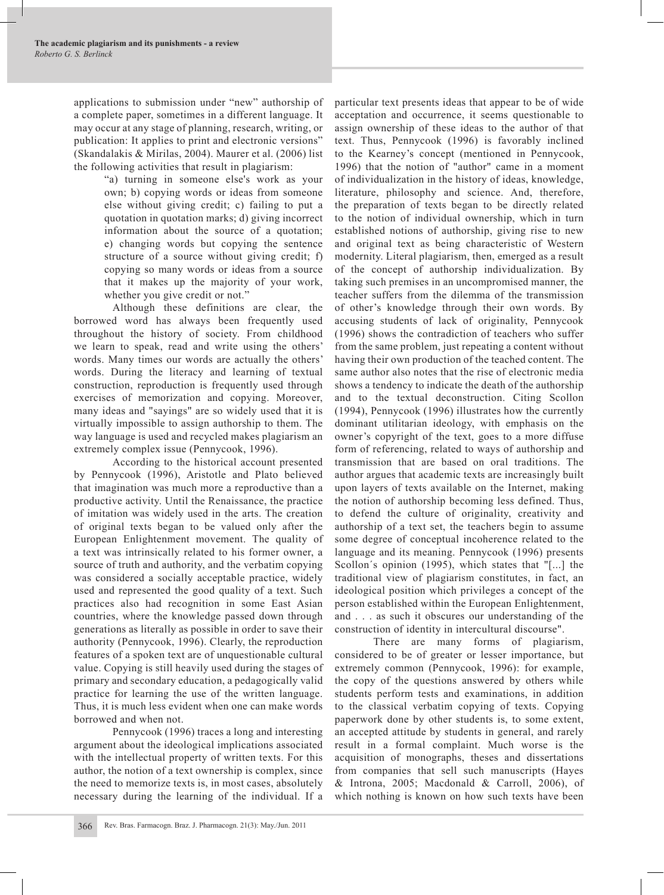applications to submission under "new" authorship of a complete paper, sometimes in a different language. It may occur at any stage of planning, research, writing, or publication: It applies to print and electronic versions" (Skandalakis & Mirilas, 2004). Maurer et al. (2006) list the following activities that result in plagiarism:

> "a) turning in someone else's work as your own; b) copying words or ideas from someone else without giving credit; c) failing to put a quotation in quotation marks; d) giving incorrect information about the source of a quotation; e) changing words but copying the sentence structure of a source without giving credit; f) copying so many words or ideas from a source that it makes up the majority of your work, whether you give credit or not."

Although these definitions are clear, the borrowed word has always been frequently used throughout the history of society. From childhood we learn to speak, read and write using the others' words. Many times our words are actually the others' words. During the literacy and learning of textual construction, reproduction is frequently used through exercises of memorization and copying. Moreover, many ideas and "sayings" are so widely used that it is virtually impossible to assign authorship to them. The way language is used and recycled makes plagiarism an extremely complex issue (Pennycook, 1996).

According to the historical account presented by Pennycook (1996), Aristotle and Plato believed that imagination was much more a reproductive than a productive activity. Until the Renaissance, the practice of imitation was widely used in the arts. The creation of original texts began to be valued only after the European Enlightenment movement. The quality of a text was intrinsically related to his former owner, a source of truth and authority, and the verbatim copying was considered a socially acceptable practice, widely used and represented the good quality of a text. Such practices also had recognition in some East Asian countries, where the knowledge passed down through generations as literally as possible in order to save their authority (Pennycook, 1996). Clearly, the reproduction features of a spoken text are of unquestionable cultural value. Copying is still heavily used during the stages of primary and secondary education, a pedagogically valid practice for learning the use of the written language. Thus, it is much less evident when one can make words borrowed and when not.

Pennycook (1996) traces a long and interesting argument about the ideological implications associated with the intellectual property of written texts. For this author, the notion of a text ownership is complex, since the need to memorize texts is, in most cases, absolutely necessary during the learning of the individual. If a particular text presents ideas that appear to be of wide acceptation and occurrence, it seems questionable to assign ownership of these ideas to the author of that text. Thus, Pennycook (1996) is favorably inclined to the Kearney's concept (mentioned in Pennycook, 1996) that the notion of "author" came in a moment of individualization in the history of ideas, knowledge, literature, philosophy and science. And, therefore, the preparation of texts began to be directly related to the notion of individual ownership, which in turn established notions of authorship, giving rise to new and original text as being characteristic of Western modernity. Literal plagiarism, then, emerged as a result of the concept of authorship individualization. By taking such premises in an uncompromised manner, the teacher suffers from the dilemma of the transmission of other's knowledge through their own words. By accusing students of lack of originality, Pennycook (1996) shows the contradiction of teachers who suffer from the same problem, just repeating a content without having their own production of the teached content. The same author also notes that the rise of electronic media shows a tendency to indicate the death of the authorship and to the textual deconstruction. Citing Scollon (1994), Pennycook (1996) illustrates how the currently dominant utilitarian ideology, with emphasis on the owner's copyright of the text, goes to a more diffuse form of referencing, related to ways of authorship and transmission that are based on oral traditions. The author argues that academic texts are increasingly built upon layers of texts available on the Internet, making the notion of authorship becoming less defined. Thus, to defend the culture of originality, creativity and authorship of a text set, the teachers begin to assume some degree of conceptual incoherence related to the language and its meaning. Pennycook (1996) presents Scollon's opinion (1995), which states that "[...] the traditional view of plagiarism constitutes, in fact, an ideological position which privileges a concept of the person established within the European Enlightenment, and . . . as such it obscures our understanding of the construction of identity in intercultural discourse".

There are many forms of plagiarism, considered to be of greater or lesser importance, but extremely common (Pennycook, 1996): for example, the copy of the questions answered by others while students perform tests and examinations, in addition to the classical verbatim copying of texts. Copying paperwork done by other students is, to some extent, an accepted attitude by students in general, and rarely result in a formal complaint. Much worse is the acquisition of monographs, theses and dissertations from companies that sell such manuscripts (Hayes & Introna, 2005; Macdonald & Carroll, 2006), of which nothing is known on how such texts have been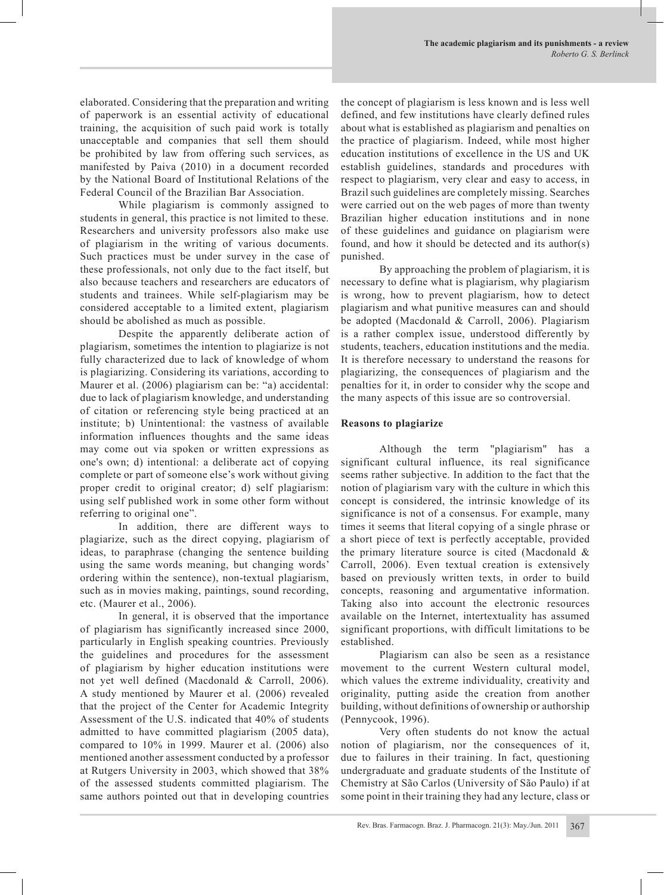elaborated. Considering that the preparation and writing of paperwork is an essential activity of educational training, the acquisition of such paid work is totally unacceptable and companies that sell them should be prohibited by law from offering such services, as manifested by Paiva (2010) in a document recorded by the National Board of Institutional Relations of the Federal Council of the Brazilian Bar Association.

While plagiarism is commonly assigned to students in general, this practice is not limited to these. Researchers and university professors also make use of plagiarism in the writing of various documents. Such practices must be under survey in the case of these professionals, not only due to the fact itself, but also because teachers and researchers are educators of students and trainees. While self-plagiarism may be considered acceptable to a limited extent, plagiarism should be abolished as much as possible.

Despite the apparently deliberate action of plagiarism, sometimes the intention to plagiarize is not fully characterized due to lack of knowledge of whom is plagiarizing. Considering its variations, according to Maurer et al. (2006) plagiarism can be: "a) accidental: due to lack of plagiarism knowledge, and understanding of citation or referencing style being practiced at an institute; b) Unintentional: the vastness of available information influences thoughts and the same ideas may come out via spoken or written expressions as one's own; d) intentional: a deliberate act of copying complete or part of someone else's work without giving proper credit to original creator; d) self plagiarism: using self published work in some other form without referring to original one".

In addition, there are different ways to plagiarize, such as the direct copying, plagiarism of ideas, to paraphrase (changing the sentence building using the same words meaning, but changing words' ordering within the sentence), non-textual plagiarism, such as in movies making, paintings, sound recording, etc. (Maurer et al., 2006).

In general, it is observed that the importance of plagiarism has significantly increased since 2000, particularly in English speaking countries. Previously the guidelines and procedures for the assessment of plagiarism by higher education institutions were not yet well defined (Macdonald & Carroll, 2006). A study mentioned by Maurer et al. (2006) revealed that the project of the Center for Academic Integrity Assessment of the U.S. indicated that 40% of students admitted to have committed plagiarism (2005 data), compared to 10% in 1999. Maurer et al. (2006) also mentioned another assessment conducted by a professor at Rutgers University in 2003, which showed that 38% of the assessed students committed plagiarism. The same authors pointed out that in developing countries

the concept of plagiarism is less known and is less well defined, and few institutions have clearly defined rules about what is established as plagiarism and penalties on the practice of plagiarism. Indeed, while most higher education institutions of excellence in the US and UK establish guidelines, standards and procedures with respect to plagiarism, very clear and easy to access, in Brazil such guidelines are completely missing. Searches were carried out on the web pages of more than twenty Brazilian higher education institutions and in none of these guidelines and guidance on plagiarism were found, and how it should be detected and its author(s) punished.

By approaching the problem of plagiarism, it is necessary to define what is plagiarism, why plagiarism is wrong, how to prevent plagiarism, how to detect plagiarism and what punitive measures can and should be adopted (Macdonald & Carroll, 2006). Plagiarism is a rather complex issue, understood differently by students, teachers, education institutions and the media. It is therefore necessary to understand the reasons for plagiarizing, the consequences of plagiarism and the penalties for it, in order to consider why the scope and the many aspects of this issue are so controversial.

## **Reasons to plagiarize**

Although the term "plagiarism" has a significant cultural influence, its real significance seems rather subjective. In addition to the fact that the notion of plagiarism vary with the culture in which this concept is considered, the intrinsic knowledge of its significance is not of a consensus. For example, many times it seems that literal copying of a single phrase or a short piece of text is perfectly acceptable, provided the primary literature source is cited (Macdonald & Carroll, 2006). Even textual creation is extensively based on previously written texts, in order to build concepts, reasoning and argumentative information. Taking also into account the electronic resources available on the Internet, intertextuality has assumed significant proportions, with difficult limitations to be established.

Plagiarism can also be seen as a resistance movement to the current Western cultural model, which values the extreme individuality, creativity and originality, putting aside the creation from another building, without definitions of ownership or authorship (Pennycook, 1996).

Very often students do not know the actual notion of plagiarism, nor the consequences of it, due to failures in their training. In fact, questioning undergraduate and graduate students of the Institute of Chemistry at São Carlos (University of São Paulo) if at some point in their training they had any lecture, class or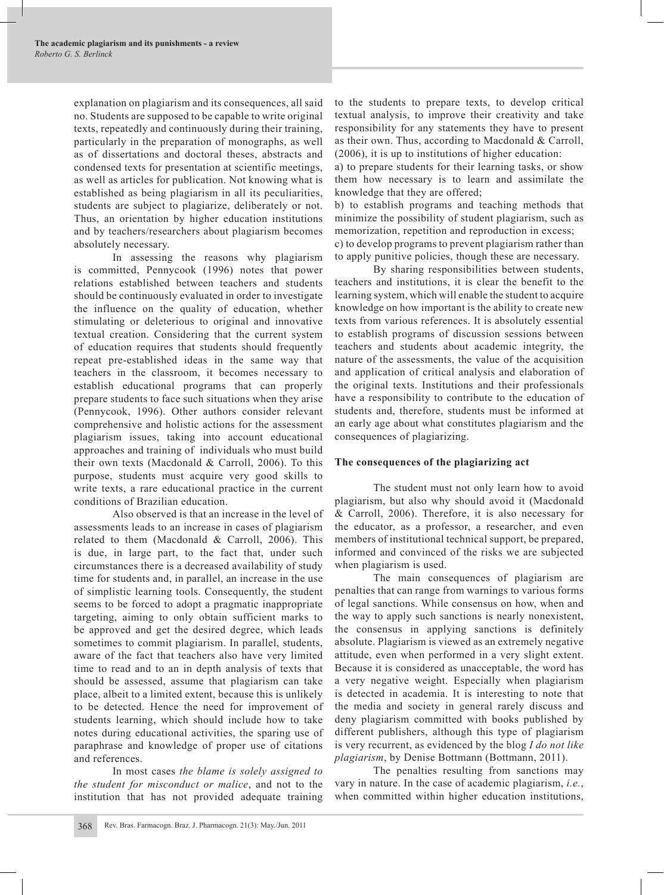explanation on plagiarism and its consequences, all said no. Students are supposed to be capable to write original texts, repeatedly and continuously during their training, particularly in the preparation of monographs, as well as of dissertations and doctoral theses, abstracts and condensed texts for presentation at scientific meetings, as well as articles for publication. Not knowing what is established as being plagiarism in all its peculiarities, students are subject to plagiarize, deliberately or not. Thus, an orientation by higher education institutions and by teachers/researchers about plagiarism becomes absolutely necessary.

In assessing the reasons why plagiarism is committed, Pennycook (1996) notes that power relations established between teachers and students should be continuously evaluated in order to investigate the influence on the quality of education, whether stimulating or deleterious to original and innovative textual creation. Considering that the current system of education requires that students should frequently repeat pre-established ideas in the same way that teachers in the classroom, it becomes necessary to establish educational programs that can properly prepare students to face such situations when they arise (Pennycook, 1996). Other authors consider relevant comprehensive and holistic actions for the assessment plagiarism issues, taking into account educational approaches and training of individuals who must build their own texts (Macdonald & Carroll, 2006). To this purpose, students must acquire very good skills to write texts, a rare educational practice in the current conditions of Brazilian education.

Also observed is that an increase in the level of assessments leads to an increase in cases of plagiarism related to them (Macdonald & Carroll, 2006). This is due, in large part, to the fact that, under such circumstances there is a decreased availability of study time for students and, in parallel, an increase in the use of simplistic learning tools. Consequently, the student seems to be forced to adopt a pragmatic inappropriate targeting, aiming to only obtain sufficient marks to be approved and get the desired degree, which leads sometimes to commit plagiarism. In parallel, students, aware of the fact that teachers also have very limited time to read and to an in depth analysis of texts that should be assessed, assume that plagiarism can take place, albeit to a limited extent, because this is unlikely to be detected. Hence the need for improvement of students learning, which should include how to take notes during educational activities, the sparing use of paraphrase and knowledge of proper use of citations and references.

In most cases *the blame is solely assigned to the student for misconduct or malice*, and not to the institution that has not provided adequate training to the students to prepare texts, to develop critical textual analysis, to improve their creativity and take responsibility for any statements they have to present as their own. Thus, according to Macdonald & Carroll, (2006), it is up to institutions of higher education:

a) to prepare students for their learning tasks, or show them how necessary is to learn and assimilate the knowledge that they are offered;

b) to establish programs and teaching methods that minimize the possibility of student plagiarism, such as memorization, repetition and reproduction in excess; c) to develop programs to prevent plagiarism rather than to apply punitive policies, though these are necessary.

By sharing responsibilities between students, teachers and institutions, it is clear the benefit to the learning system, which will enable the student to acquire knowledge on how important is the ability to create new texts from various references. It is absolutely essential to establish programs of discussion sessions between teachers and students about academic integrity, the nature of the assessments, the value of the acquisition and application of critical analysis and elaboration of the original texts. Institutions and their professionals have a responsibility to contribute to the education of students and, therefore, students must be informed at an early age about what constitutes plagiarism and the consequences of plagiarizing.

## **The consequences of the plagiarizing act**

The student must not only learn how to avoid plagiarism, but also why should avoid it (Macdonald & Carroll, 2006). Therefore, it is also necessary for the educator, as a professor, a researcher, and even members of institutional technical support, be prepared, informed and convinced of the risks we are subjected when plagiarism is used.

The main consequences of plagiarism are penalties that can range from warnings to various forms of legal sanctions. While consensus on how, when and the way to apply such sanctions is nearly nonexistent, the consensus in applying sanctions is definitely absolute. Plagiarism is viewed as an extremely negative attitude, even when performed in a very slight extent. Because it is considered as unacceptable, the word has a very negative weight. Especially when plagiarism is detected in academia. It is interesting to note that the media and society in general rarely discuss and deny plagiarism committed with books published by different publishers, although this type of plagiarism is very recurrent, as evidenced by the blog *I do not like plagiarism*, by Denise Bottmann (Bottmann, 2011).

The penalties resulting from sanctions may vary in nature. In the case of academic plagiarism, *i.e.*, when committed within higher education institutions,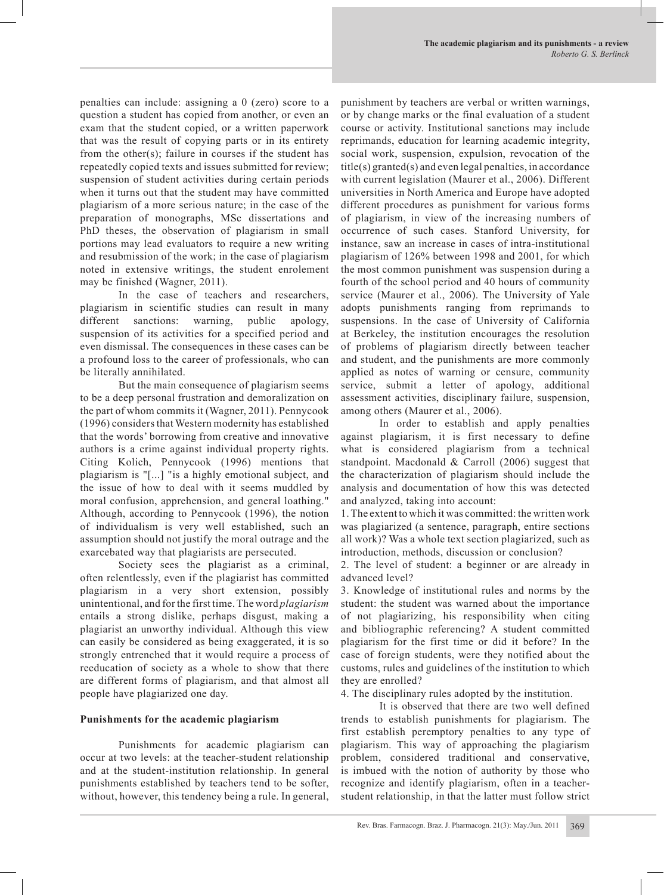penalties can include: assigning a 0 (zero) score to a question a student has copied from another, or even an exam that the student copied, or a written paperwork that was the result of copying parts or in its entirety from the other(s); failure in courses if the student has repeatedly copied texts and issues submitted for review; suspension of student activities during certain periods when it turns out that the student may have committed plagiarism of a more serious nature; in the case of the preparation of monographs, MSc dissertations and PhD theses, the observation of plagiarism in small portions may lead evaluators to require a new writing and resubmission of the work; in the case of plagiarism noted in extensive writings, the student enrolement may be finished (Wagner, 2011).

In the case of teachers and researchers, plagiarism in scientific studies can result in many different sanctions: warning, public apology, suspension of its activities for a specified period and even dismissal. The consequences in these cases can be a profound loss to the career of professionals, who can be literally annihilated.

But the main consequence of plagiarism seems to be a deep personal frustration and demoralization on the part of whom commits it (Wagner, 2011). Pennycook (1996) considers that Western modernity has established that the words' borrowing from creative and innovative authors is a crime against individual property rights. Citing Kolich, Pennycook (1996) mentions that plagiarism is "[...] "is a highly emotional subject, and the issue of how to deal with it seems muddled by moral confusion, apprehension, and general loathing." Although, according to Pennycook (1996), the notion of individualism is very well established, such an assumption should not justify the moral outrage and the exarcebated way that plagiarists are persecuted.

Society sees the plagiarist as a criminal, often relentlessly, even if the plagiarist has committed plagiarism in a very short extension, possibly unintentional, and for the first time. The word *plagiarism* entails a strong dislike, perhaps disgust, making a plagiarist an unworthy individual. Although this view can easily be considered as being exaggerated, it is so strongly entrenched that it would require a process of reeducation of society as a whole to show that there are different forms of plagiarism, and that almost all people have plagiarized one day.

## **Punishments for the academic plagiarism**

Punishments for academic plagiarism can occur at two levels: at the teacher-student relationship and at the student-institution relationship. In general punishments established by teachers tend to be softer, without, however, this tendency being a rule. In general, punishment by teachers are verbal or written warnings, or by change marks or the final evaluation of a student course or activity. Institutional sanctions may include reprimands, education for learning academic integrity, social work, suspension, expulsion, revocation of the title(s) granted(s) and even legal penalties, in accordance with current legislation (Maurer et al., 2006). Different universities in North America and Europe have adopted different procedures as punishment for various forms of plagiarism, in view of the increasing numbers of occurrence of such cases. Stanford University, for instance, saw an increase in cases of intra-institutional plagiarism of 126% between 1998 and 2001, for which the most common punishment was suspension during a fourth of the school period and 40 hours of community service (Maurer et al., 2006). The University of Yale adopts punishments ranging from reprimands to suspensions. In the case of University of California at Berkeley, the institution encourages the resolution of problems of plagiarism directly between teacher and student, and the punishments are more commonly applied as notes of warning or censure, community service, submit a letter of apology, additional assessment activities, disciplinary failure, suspension, among others (Maurer et al., 2006).

In order to establish and apply penalties against plagiarism, it is first necessary to define what is considered plagiarism from a technical standpoint. Macdonald & Carroll (2006) suggest that the characterization of plagiarism should include the analysis and documentation of how this was detected and analyzed, taking into account:

1. The extent to which it was committed: the written work was plagiarized (a sentence, paragraph, entire sections all work)? Was a whole text section plagiarized, such as introduction, methods, discussion or conclusion?

2. The level of student: a beginner or are already in advanced level?

3. Knowledge of institutional rules and norms by the student: the student was warned about the importance of not plagiarizing, his responsibility when citing and bibliographic referencing? A student committed plagiarism for the first time or did it before? In the case of foreign students, were they notified about the customs, rules and guidelines of the institution to which they are enrolled?

4. The disciplinary rules adopted by the institution.

It is observed that there are two well defined trends to establish punishments for plagiarism. The first establish peremptory penalties to any type of plagiarism. This way of approaching the plagiarism problem, considered traditional and conservative, is imbued with the notion of authority by those who recognize and identify plagiarism, often in a teacherstudent relationship, in that the latter must follow strict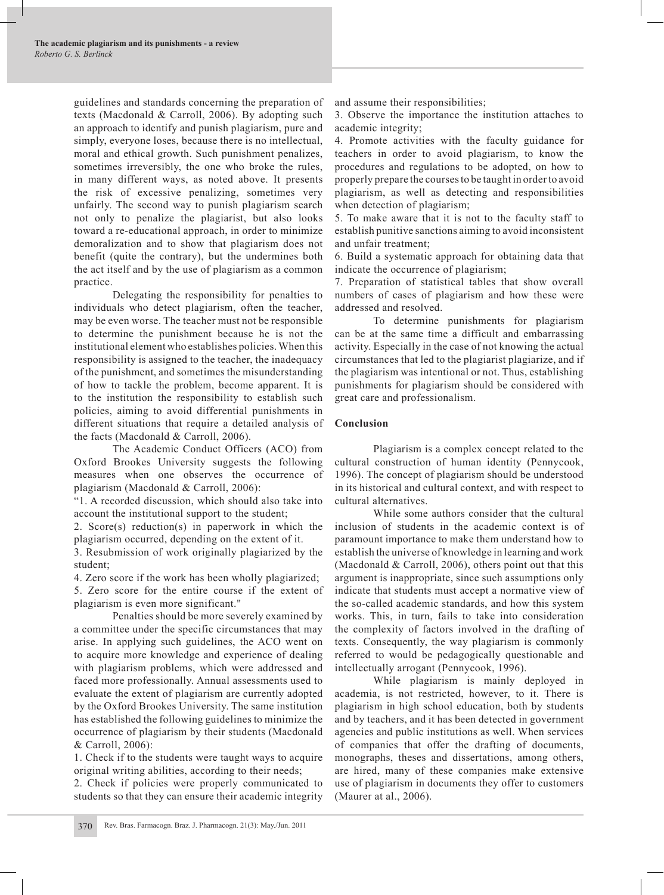guidelines and standards concerning the preparation of texts (Macdonald & Carroll, 2006). By adopting such an approach to identify and punish plagiarism, pure and simply, everyone loses, because there is no intellectual, moral and ethical growth. Such punishment penalizes, sometimes irreversibly, the one who broke the rules, in many different ways, as noted above. It presents the risk of excessive penalizing, sometimes very unfairly. The second way to punish plagiarism search not only to penalize the plagiarist, but also looks toward a re-educational approach, in order to minimize demoralization and to show that plagiarism does not benefit (quite the contrary), but the undermines both the act itself and by the use of plagiarism as a common practice.

Delegating the responsibility for penalties to individuals who detect plagiarism, often the teacher, may be even worse. The teacher must not be responsible to determine the punishment because he is not the institutional element who establishes policies. When this responsibility is assigned to the teacher, the inadequacy of the punishment, and sometimes the misunderstanding of how to tackle the problem, become apparent. It is to the institution the responsibility to establish such policies, aiming to avoid differential punishments in different situations that require a detailed analysis of the facts (Macdonald & Carroll, 2006).

The Academic Conduct Officers (ACO) from Oxford Brookes University suggests the following measures when one observes the occurrence of plagiarism (Macdonald & Carroll, 2006):

"1. A recorded discussion, which should also take into account the institutional support to the student;

2. Score(s) reduction(s) in paperwork in which the plagiarism occurred, depending on the extent of it.

3. Resubmission of work originally plagiarized by the student;

4. Zero score if the work has been wholly plagiarized; 5. Zero score for the entire course if the extent of plagiarism is even more significant."

Penalties should be more severely examined by a committee under the specific circumstances that may arise. In applying such guidelines, the ACO went on to acquire more knowledge and experience of dealing with plagiarism problems, which were addressed and faced more professionally. Annual assessments used to evaluate the extent of plagiarism are currently adopted by the Oxford Brookes University. The same institution has established the following guidelines to minimize the occurrence of plagiarism by their students (Macdonald & Carroll, 2006):

1. Check if to the students were taught ways to acquire original writing abilities, according to their needs;

2. Check if policies were properly communicated to students so that they can ensure their academic integrity and assume their responsibilities;

3. Observe the importance the institution attaches to academic integrity;

4. Promote activities with the faculty guidance for teachers in order to avoid plagiarism, to know the procedures and regulations to be adopted, on how to properly prepare the courses to be taught in order to avoid plagiarism, as well as detecting and responsibilities when detection of plagiarism;

5. To make aware that it is not to the faculty staff to establish punitive sanctions aiming to avoid inconsistent and unfair treatment;

6. Build a systematic approach for obtaining data that indicate the occurrence of plagiarism;

7. Preparation of statistical tables that show overall numbers of cases of plagiarism and how these were addressed and resolved.

To determine punishments for plagiarism can be at the same time a difficult and embarrassing activity. Especially in the case of not knowing the actual circumstances that led to the plagiarist plagiarize, and if the plagiarism was intentional or not. Thus, establishing punishments for plagiarism should be considered with great care and professionalism.

### **Conclusion**

Plagiarism is a complex concept related to the cultural construction of human identity (Pennycook, 1996). The concept of plagiarism should be understood in its historical and cultural context, and with respect to cultural alternatives.

While some authors consider that the cultural inclusion of students in the academic context is of paramount importance to make them understand how to establish the universe of knowledge in learning and work (Macdonald & Carroll, 2006), others point out that this argument is inappropriate, since such assumptions only indicate that students must accept a normative view of the so-called academic standards, and how this system works. This, in turn, fails to take into consideration the complexity of factors involved in the drafting of texts. Consequently, the way plagiarism is commonly referred to would be pedagogically questionable and intellectually arrogant (Pennycook, 1996).

While plagiarism is mainly deployed in academia, is not restricted, however, to it. There is plagiarism in high school education, both by students and by teachers, and it has been detected in government agencies and public institutions as well. When services of companies that offer the drafting of documents, monographs, theses and dissertations, among others, are hired, many of these companies make extensive use of plagiarism in documents they offer to customers (Maurer at al., 2006).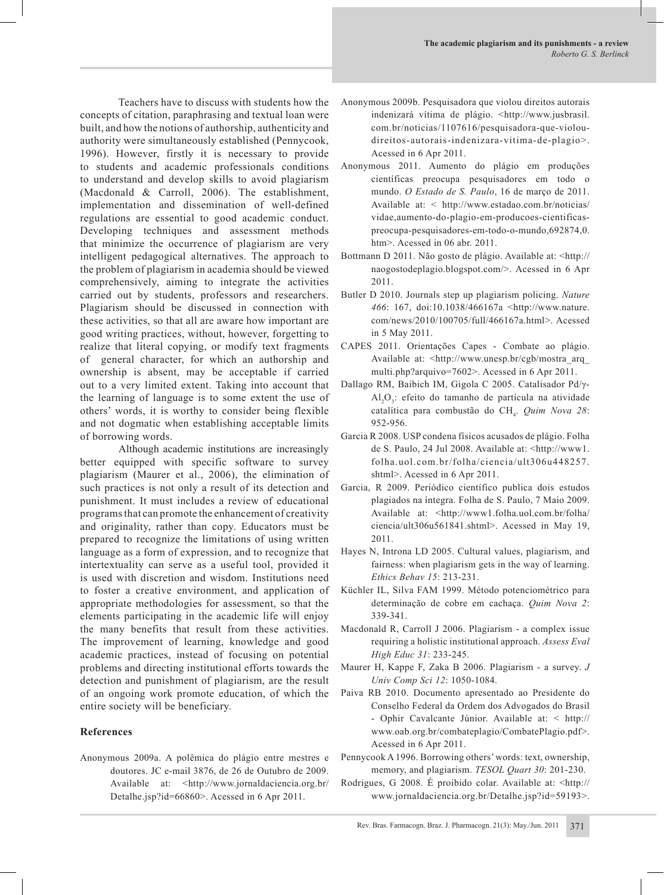Teachers have to discuss with students how the concepts of citation, paraphrasing and textual loan were built, and how the notions of authorship, authenticity and authority were simultaneously established (Pennycook, 1996). However, firstly it is necessary to provide to students and academic professionals conditions to understand and develop skills to avoid plagiarism (Macdonald & Carroll, 2006). The establishment, implementation and dissemination of well-defined regulations are essential to good academic conduct. Developing techniques and assessment methods that minimize the occurrence of plagiarism are very intelligent pedagogical alternatives. The approach to the problem of plagiarism in academia should be viewed comprehensively, aiming to integrate the activities carried out by students, professors and researchers. Plagiarism should be discussed in connection with these activities, so that all are aware how important are good writing practices, without, however, forgetting to realize that literal copying, or modify text fragments of general character, for which an authorship and ownership is absent, may be acceptable if carried out to a very limited extent. Taking into account that the learning of language is to some extent the use of others' words, it is worthy to consider being flexible and not dogmatic when establishing acceptable limits of borrowing words.

Although academic institutions are increasingly better equipped with specific software to survey plagiarism (Maurer et al., 2006), the elimination of such practices is not only a result of its detection and punishment. It must includes a review of educational programs that can promote the enhancement of creativity and originality, rather than copy. Educators must be prepared to recognize the limitations of using written language as a form of expression, and to recognize that intertextuality can serve as a useful tool, provided it is used with discretion and wisdom. Institutions need to foster a creative environment, and application of appropriate methodologies for assessment, so that the elements participating in the academic life will enjoy the many benefits that result from these activities. The improvement of learning, knowledge and good academic practices, instead of focusing on potential problems and directing institutional efforts towards the detection and punishment of plagiarism, are the result of an ongoing work promote education, of which the entire society will be beneficiary.

#### **References**

Anonymous 2009a. A polêmica do plágio entre mestres e doutores. JC e-mail 3876, de 26 de Outubro de 2009. Available at: <http://www.jornaldaciencia.org.br/ Detalhe.jsp?id=66860>. Acessed in 6 Apr 2011.

- Anonymous 2009b. Pesquisadora que violou direitos autorais indenizará vítima de plágio. <http://www.jusbrasil. com.br/noticias/1107616/pesquisadora-que-violoudireitos-autorais-indenizara-vitima-de-plagio>. Acessed in 6 Apr 2011.
- Anonymous 2011. Aumento do plágio em produções científicas preocupa pesquisadores em todo o mundo. *O Estado de S. Paulo*, 16 de março de 2011. Available at: < http://www.estadao.com.br/noticias/ vidae,aumento-do-plagio-em-producoes-cientificaspreocupa-pesquisadores-em-todo-o-mundo,692874,0. htm>. Acessed in 06 abr. 2011.
- Bottmann D 2011. Não gosto de plágio. Available at: <http:// naogostodeplagio.blogspot.com/>. Acessed in 6 Apr 2011.
- Butler D 2010. Journals step up plagiarism policing. *Nature 466*: 167, doi:10.1038/466167a <http://www.nature. com/news/2010/100705/full/466167a.html>. Acessed in 5 May 2011.
- CAPES 2011. Orientações Capes Combate ao plágio. Available at: <http://www.unesp.br/cgb/mostra\_arq multi.php?arquivo=7602>. Acessed in 6 Apr 2011.
- Dallago RM, Baibich IM, Gigola C 2005. Catalisador Pd/γ- $Al_2O_3$ : efeito do tamanho de partícula na atividade catalítica para combustão do CH4 . *Quim Nova 28*: 952-956.
- Garcia R 2008. USP condena físicos acusados de plágio. Folha de S. Paulo, 24 Jul 2008. Available at: <http://www1. folha.uol.com.br/folha/ciencia/ult306u448257. shtml>. Acessed in 6 Apr 2011.
- Garcia, R 2009. Periódico científico publica dois estudos plagiados na íntegra. Folha de S. Paulo, 7 Maio 2009. Available at: <http://www1.folha.uol.com.br/folha/ ciencia/ult306u561841.shtml>. Acessed in May 19, 2011.
- Hayes N, Introna LD 2005. Cultural values, plagiarism, and fairness: when plagiarism gets in the way of learning. *Ethics Behav 15*: 213-231.
- Küchler IL, Silva FAM 1999. Método potenciométrico para determinação de cobre em cachaça. *Quim Nova 2*: 339-341.
- Macdonald R, Carroll J 2006. Plagiarism a complex issue requiring a holistic institutional approach. *Assess Eval High Educ 31*: 233-245.
- Maurer H, Kappe F, Zaka B 2006. Plagiarism a survey. *J Univ Comp Sci 12*: 1050-1084.
- Paiva RB 2010. Documento apresentado ao Presidente do Conselho Federal da Ordem dos Advogados do Brasil - Ophir Cavalcante Júnior. Available at: < http:// www.oab.org.br/combateplagio/CombatePlagio.pdf>. Acessed in 6 Apr 2011.
- Pennycook A 1996. Borrowing others' words: text, ownership, memory, and plagiarism. *TESOL Quart 30*: 201-230.
- Rodrigues, G 2008. É proibido colar. Available at: <http:// www.jornaldaciencia.org.br/Detalhe.jsp?id=59193>.